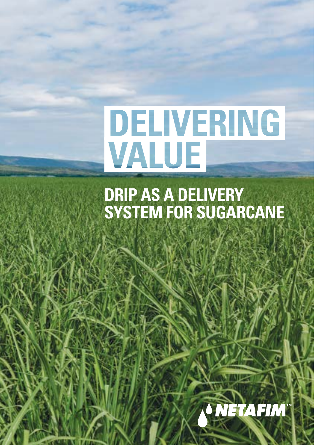# **DELIVERING** VALUE

### **DRIP AS A DELIVERY SYSTEM FOR SUGARCANE**

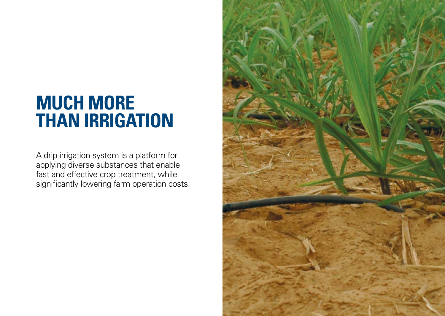## **MUCH MORE THAN IRRIGATION**

A drip irrigation system is a platform for applying diverse substances that enable fast and effective crop treatment, while significantly lowering farm operation costs.

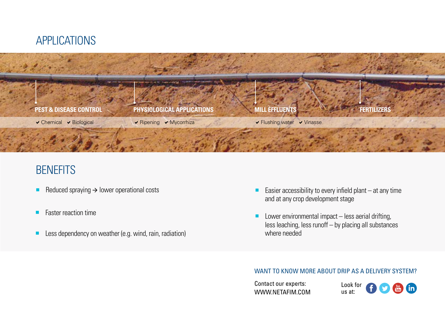



### **BENEFITS**

- Reduced spraying  $\rightarrow$  lower operational costs
- Faster reaction time
- Less dependency on weather (e.g. wind, rain, radiation)
- **Easier accessibility to every infield plant** at any time and at any crop development stage
- $\blacksquare$  Lower environmental impact less aerial drifting, less leaching, less runoff – by placing all substances where needed

#### WANT TO KNOW MORE ABOUT DRIP AS A DELIVERY SYSTEM?

Contact our experts: [WWW.NETAFIM.COM](https://www.netafim.com/en/crop-knowledge/sugarcane/)

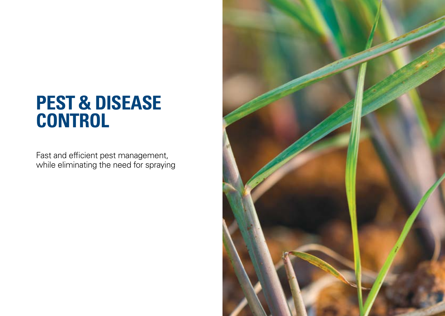## **PEST & DISEASE CONTROL**

Fast and efficient pest management, while eliminating the need for spraying

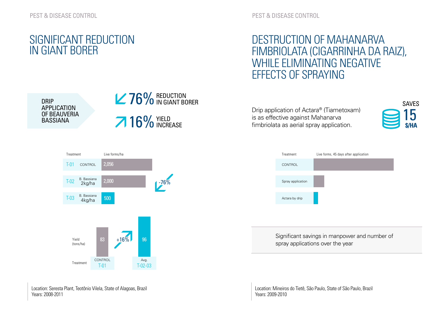#### SIGNIFICANT REDUCTION IN GIANT BORER

PEST & DISEASE CONTROL

#### DESTRUCTION OF MAHANARVA FIMBRIOLATA (CIGARRINHA DA RAIZ), WHILE ELIMINATING NEGATIVE EFFECTS OF SPRAYING

DRIP APPLICATION OF BEAUVERIA BASSIANA



Drip application of Actara® (Tiametoxam) is as effective against Mahanarva fimbriolata as aerial spray application.





Significant savings in manpower and number of spray applications over the year

Location: Mineiros do Tietê, São Paulo, State of São Paulo, Brazil Years: 2009-2010



Location: Seresta Plant, Teotônio Vilela, State of Alagoas, Brazil Years: 2008-2011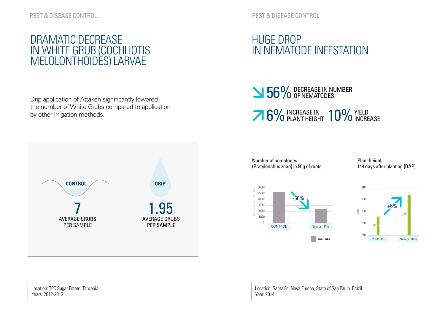#### DRAMATIC DECREASE IN WHITE GRUB (COCHLIOTIS MELOLONTHOIDES) LARVAE

Drip application of Attaken significantly lowered the number of White Grubs compared to application by other irrigation methods.



PEST & DISEASE CONTROL

#### HUGE DROP IN NEMATODE INFESTATION

### **SECREASE IN NUMBER** 56% OF NEMATODES

6% INCREASE IN 10% YIELD INCREASE

Number of nematodes (Pratylenchus zeae) in 50g of roots Plant height 144 days after planting (DAP)



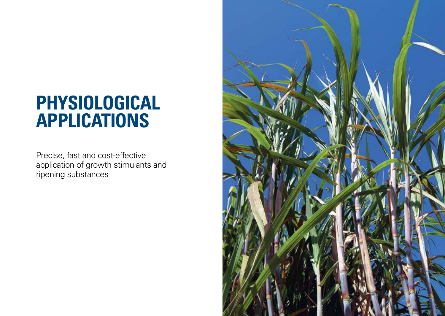## **PHYSIOLOGICAL APPLICATIONS**

Precise, fast and cost-effective application of growth stimulants and ripening substances

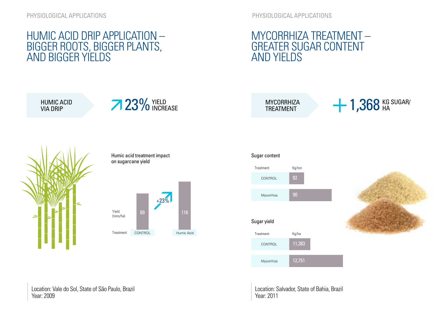PHYSIOLOGICAL APPLICATIONS

#### MYCORRHIZA TREATMENT – GREATER SUGAR CONTENT AND YIELDS

#### HUMIC ACID DRIP APPLICATION – BIGGER ROOTS, BIGGER PLANTS, AND BIGGER YIELDS









**MYCORRHIZA** TREATMENT

 $+1,368$  KG SUGAR/

#### Sugar content



Location: Vale do Sol, State of São Paulo, Brazil Year: 2009

Location: Salvador, State of Bahia, Brazil Year: 2011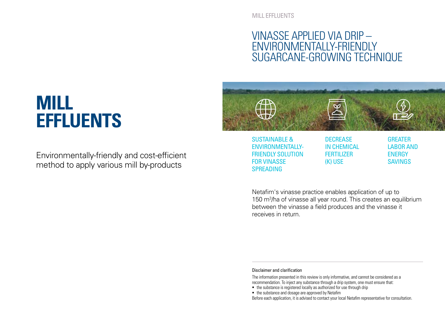MILL FFFLUENTS

#### VINASSE APPLIED VIA DRIP – ENVIRONMENTALLY-FRIENDLY SUGARCANE-GROWING TECHNIQUE

### **MILL EFFLUENTS**

Environmentally-friendly and cost-efficient method to apply various mill by-products



ENVIRONMENTALLY-FRIENDLY SOLUTION FOR VINASSE SPREADING

IN CHEMICAL **FERTILIZER** (K) USE

LABOR AND **ENERGY** SAVINGS

Netafim's vinasse practice enables application of up to 150 m<sup>3</sup>/ha of vinasse all year round. This creates an equilibrium between the vinasse a field produces and the vinasse it receives in return.

Disclaimer and clarification

The information presented in this review is only informative, and cannot be considered as a recommendation. To inject any substance through a drip system, one must ensure that:

- the substance is registered locally as authorized for use through drip
- the substance and dosage are approved by Netafim

Before each application, it is advised to contact your local Netafim representative for consultation.